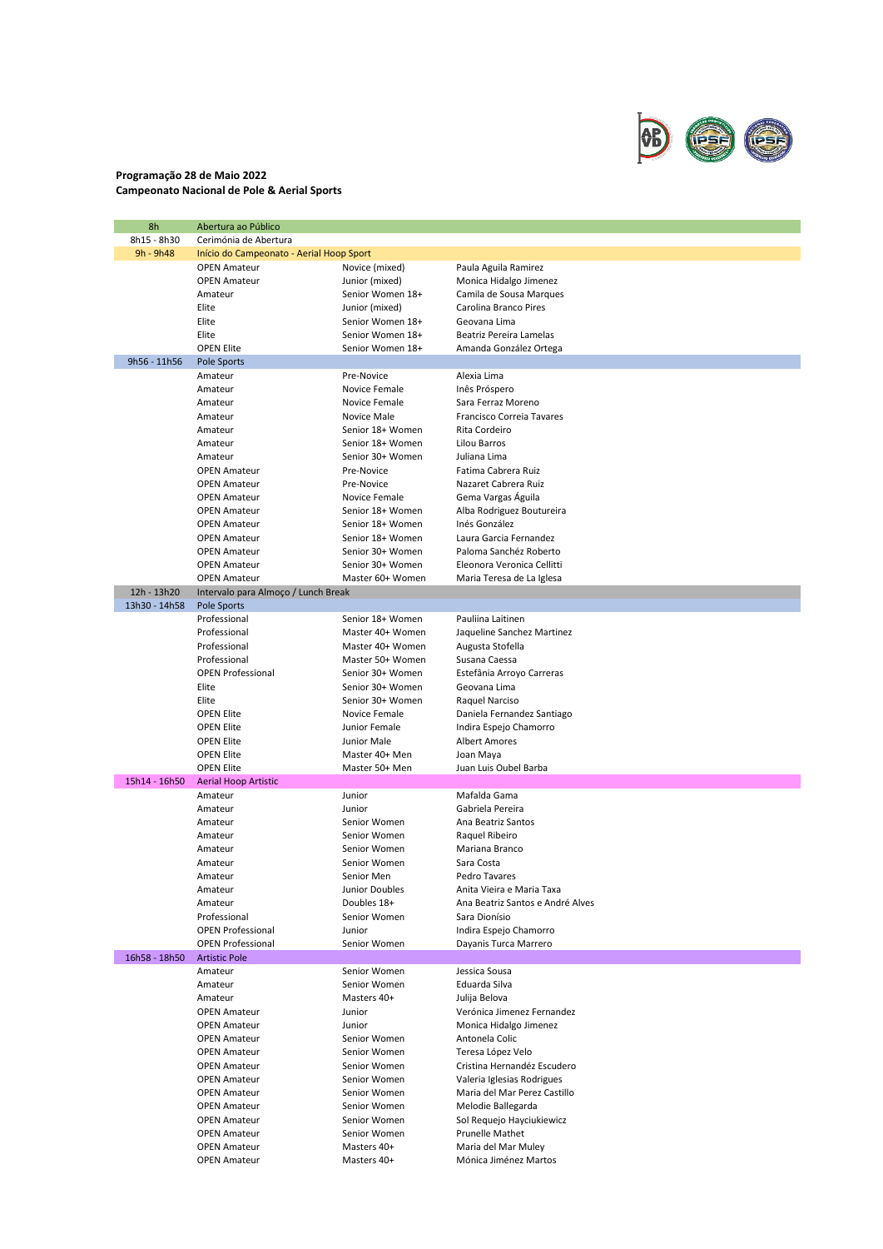

## **Programação 28 de Maio 2022 Campeonato Nacional de Pole & Aerial Sports**

| 8h            | Abertura ao Público                      |                  |                                  |  |
|---------------|------------------------------------------|------------------|----------------------------------|--|
| 8h15 - 8h30   | Cerimónia de Abertura                    |                  |                                  |  |
| 9h - 9h48     | Início do Campeonato - Aerial Hoop Sport |                  |                                  |  |
|               | <b>OPEN Amateur</b>                      | Novice (mixed)   | Paula Aguila Ramirez             |  |
|               | <b>OPEN Amateur</b>                      | Junior (mixed)   | Monica Hidalgo Jimenez           |  |
|               | Amateur                                  | Senior Women 18+ | Camila de Sousa Marques          |  |
|               | Elite                                    | Junior (mixed)   | Carolina Branco Pires            |  |
|               | Elite                                    | Senior Women 18+ | Geovana Lima                     |  |
|               | Elite                                    | Senior Women 18+ | Beatriz Pereira Lamelas          |  |
|               | <b>OPEN Elite</b>                        | Senior Women 18+ | Amanda González Ortega           |  |
| 9h56 - 11h56  | <b>Pole Sports</b>                       |                  |                                  |  |
|               | Amateur                                  | Pre-Novice       | Alexia Lima                      |  |
|               | Amateur                                  | Novice Female    | Inês Próspero                    |  |
|               | Amateur                                  | Novice Female    | Sara Ferraz Moreno               |  |
|               | Amateur                                  | Novice Male      | Francisco Correia Tavares        |  |
|               | Amateur                                  | Senior 18+ Women | Rita Cordeiro                    |  |
|               | Amateur                                  | Senior 18+ Women | Lilou Barros                     |  |
|               | Amateur                                  | Senior 30+ Women | Juliana Lima                     |  |
|               | <b>OPEN Amateur</b>                      | Pre-Novice       | Fatima Cabrera Ruiz              |  |
|               | <b>OPEN Amateur</b>                      | Pre-Novice       | Nazaret Cabrera Ruiz             |  |
|               | <b>OPEN Amateur</b>                      | Novice Female    | Gema Vargas Águila               |  |
|               | <b>OPEN Amateur</b>                      | Senior 18+ Women | Alba Rodriguez Boutureira        |  |
|               | <b>OPEN Amateur</b>                      | Senior 18+ Women | Inés González                    |  |
|               | <b>OPEN Amateur</b>                      | Senior 18+ Women | Laura Garcia Fernandez           |  |
|               | <b>OPEN Amateur</b>                      | Senior 30+ Women | Paloma Sanchéz Roberto           |  |
|               | <b>OPEN Amateur</b>                      | Senior 30+ Women | Eleonora Veronica Cellitti       |  |
|               | <b>OPEN Amateur</b>                      | Master 60+ Women | Maria Teresa de La Iglesa        |  |
| 12h - 13h20   | Intervalo para Almoço / Lunch Break      |                  |                                  |  |
| 13h30 - 14h58 | <b>Pole Sports</b>                       |                  |                                  |  |
|               | Professional                             | Senior 18+ Women | Pauliina Laitinen                |  |
|               | Professional                             | Master 40+ Women | Jaqueline Sanchez Martinez       |  |
|               | Professional                             | Master 40+ Women | Augusta Stofella                 |  |
|               | Professional                             | Master 50+ Women | Susana Caessa                    |  |
|               | <b>OPEN Professional</b>                 | Senior 30+ Women | Estefânia Arroyo Carreras        |  |
|               | Elite                                    | Senior 30+ Women | Geovana Lima                     |  |
|               | Elite                                    | Senior 30+ Women | Raquel Narciso                   |  |
|               | <b>OPEN Elite</b>                        | Novice Female    | Daniela Fernandez Santiago       |  |
|               | <b>OPEN Elite</b>                        | Junior Female    | Indira Espejo Chamorro           |  |
|               | <b>OPEN Elite</b>                        | Junior Male      | Albert Amores                    |  |
|               | <b>OPEN Elite</b>                        | Master 40+ Men   | Joan Maya                        |  |
|               | <b>OPEN Elite</b>                        | Master 50+ Men   | Juan Luis Oubel Barba            |  |
| 15h14 - 16h50 | <b>Aerial Hoop Artistic</b>              |                  |                                  |  |
|               | Amateur                                  | Junior           | Mafalda Gama                     |  |
|               | Amateur                                  | Junior           | Gabriela Pereira                 |  |
|               | Amateur                                  | Senior Women     | Ana Beatriz Santos               |  |
|               | Amateur                                  | Senior Women     | Raquel Ribeiro                   |  |
|               | Amateur                                  | Senior Women     | Mariana Branco                   |  |
|               | Amateur                                  | Senior Women     | Sara Costa                       |  |
|               | Amateur                                  | Senior Men       | Pedro Tavares                    |  |
|               | Amateur                                  | Junior Doubles   | Anita Vieira e Maria Taxa        |  |
|               | Amateur                                  | Doubles 18+      | Ana Beatriz Santos e André Alves |  |
|               | Professional                             | Senior Women     | Sara Dionísio                    |  |
|               | <b>OPEN Professional</b>                 | Junior           | Indira Espejo Chamorro           |  |
|               | <b>OPEN Professional</b>                 | Senior Women     | Dayanis Turca Marrero            |  |
| 16h58 - 18h50 | <b>Artistic Pole</b>                     |                  |                                  |  |
|               | Amateur                                  | Senior Women     | Jessica Sousa                    |  |
|               | Amateur                                  | Senior Women     | Eduarda Silva                    |  |
|               | Amateur                                  | Masters 40+      | Julija Belova                    |  |
|               | <b>OPEN Amateur</b>                      | Junior           | Verónica Jimenez Fernandez       |  |
|               | <b>OPEN Amateur</b>                      | Junior           | Monica Hidalgo Jimenez           |  |
|               | <b>OPEN Amateur</b>                      | Senior Women     | Antonela Colic                   |  |
|               | <b>OPEN Amateur</b>                      | Senior Women     | Teresa López Velo                |  |
|               | <b>OPEN Amateur</b>                      | Senior Women     | Cristina Hernandéz Escudero      |  |
|               | <b>OPEN Amateur</b>                      | Senior Women     | Valeria Iglesias Rodrigues       |  |
|               | <b>OPEN Amateur</b>                      | Senior Women     | Maria del Mar Perez Castillo     |  |
|               | <b>OPEN Amateur</b>                      | Senior Women     | Melodie Ballegarda               |  |
|               | <b>OPEN Amateur</b>                      | Senior Women     | Sol Requejo Hayciukiewicz        |  |
|               | <b>OPEN Amateur</b>                      | Senior Women     | Prunelle Mathet                  |  |
|               | <b>OPEN Amateur</b>                      | Masters 40+      | Maria del Mar Muley              |  |
|               | <b>OPEN Amateur</b>                      | Masters 40+      | Mónica Jiménez Martos            |  |